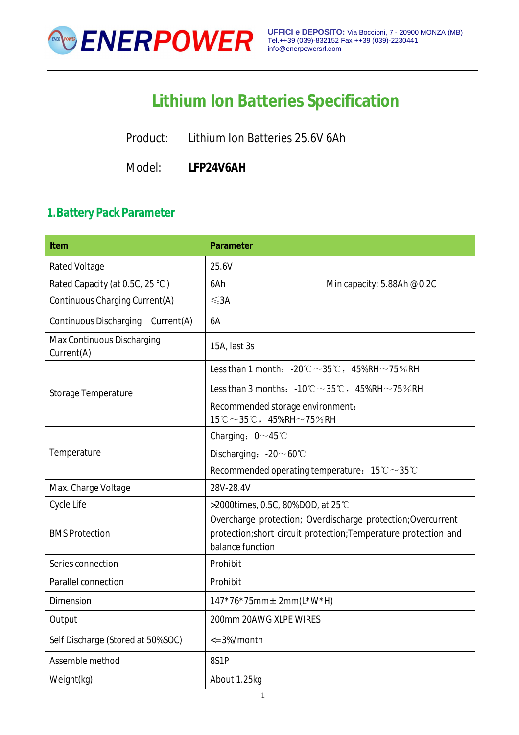

# **Lithium Ion Batteries Specification**

Product: Lithium Ion Batteries 25.6V 6Ah

Model: **LFP24V6AH**

#### **1.Battery Pack Parameter**

| <b>Rated Voltage</b><br>25.6V<br>Rated Capacity (at 0.5C, 25 °C)<br>6Ah<br>Min capacity: 5.88Ah @0.2C<br>Continuous Charging Current(A)<br>$\leq$ 3A<br><b>Continuous Discharging</b><br>Current(A)<br>6A<br>Max Continuous Discharging<br>15A, last 3s<br>Current(A)<br>Less than 1 month: $-20^{\circ}\text{C} \sim 35^{\circ}\text{C}$ , $45\%$ RH $\sim$ 75%RH<br>Less than 3 months: $-10^{\circ}\text{C} \sim 35^{\circ}\text{C}$ , $45\%$ RH $\sim$ 75% RH<br>Storage Temperature<br>Recommended storage environment:<br>$15^{\circ}$ C ~ 35 $^{\circ}$ C, 45%RH ~ 75%RH<br>Charging: $0 \sim 45^{\circ}$ C<br>Temperature<br>Discharging: $-20 \sim 60^{\circ}$ C<br>Recommended operating temperature: $15^{\circ}\text{C} \sim 35^{\circ}\text{C}$<br>28V-28.4V<br>Max. Charge Voltage<br>Cycle Life<br>>2000times, 0.5C, 80%DOD, at 25 °C<br>Overcharge protection; Overdischarge protection; Overcurrent<br><b>BMS Protection</b><br>protection;short circuit protection;Temperature protection and<br>balance function<br>Series connection<br>Prohibit<br>Parallel connection<br>Prohibit<br>Dimension<br>$147*76*75mm \pm 2mm(L*W*H)$<br>200mm 20AWG XLPE WIRES<br>Output<br>Self Discharge (Stored at 50%SOC)<br>$\epsilon$ = 3%/month<br>Assemble method<br>8S1P<br>Weight(kg)<br>About 1.25kg | <b>Item</b> | <b>Parameter</b> |
|-----------------------------------------------------------------------------------------------------------------------------------------------------------------------------------------------------------------------------------------------------------------------------------------------------------------------------------------------------------------------------------------------------------------------------------------------------------------------------------------------------------------------------------------------------------------------------------------------------------------------------------------------------------------------------------------------------------------------------------------------------------------------------------------------------------------------------------------------------------------------------------------------------------------------------------------------------------------------------------------------------------------------------------------------------------------------------------------------------------------------------------------------------------------------------------------------------------------------------------------------------------------------------------------------------------------|-------------|------------------|
|                                                                                                                                                                                                                                                                                                                                                                                                                                                                                                                                                                                                                                                                                                                                                                                                                                                                                                                                                                                                                                                                                                                                                                                                                                                                                                                 |             |                  |
|                                                                                                                                                                                                                                                                                                                                                                                                                                                                                                                                                                                                                                                                                                                                                                                                                                                                                                                                                                                                                                                                                                                                                                                                                                                                                                                 |             |                  |
|                                                                                                                                                                                                                                                                                                                                                                                                                                                                                                                                                                                                                                                                                                                                                                                                                                                                                                                                                                                                                                                                                                                                                                                                                                                                                                                 |             |                  |
|                                                                                                                                                                                                                                                                                                                                                                                                                                                                                                                                                                                                                                                                                                                                                                                                                                                                                                                                                                                                                                                                                                                                                                                                                                                                                                                 |             |                  |
|                                                                                                                                                                                                                                                                                                                                                                                                                                                                                                                                                                                                                                                                                                                                                                                                                                                                                                                                                                                                                                                                                                                                                                                                                                                                                                                 |             |                  |
|                                                                                                                                                                                                                                                                                                                                                                                                                                                                                                                                                                                                                                                                                                                                                                                                                                                                                                                                                                                                                                                                                                                                                                                                                                                                                                                 |             |                  |
|                                                                                                                                                                                                                                                                                                                                                                                                                                                                                                                                                                                                                                                                                                                                                                                                                                                                                                                                                                                                                                                                                                                                                                                                                                                                                                                 |             |                  |
|                                                                                                                                                                                                                                                                                                                                                                                                                                                                                                                                                                                                                                                                                                                                                                                                                                                                                                                                                                                                                                                                                                                                                                                                                                                                                                                 |             |                  |
|                                                                                                                                                                                                                                                                                                                                                                                                                                                                                                                                                                                                                                                                                                                                                                                                                                                                                                                                                                                                                                                                                                                                                                                                                                                                                                                 |             |                  |
|                                                                                                                                                                                                                                                                                                                                                                                                                                                                                                                                                                                                                                                                                                                                                                                                                                                                                                                                                                                                                                                                                                                                                                                                                                                                                                                 |             |                  |
|                                                                                                                                                                                                                                                                                                                                                                                                                                                                                                                                                                                                                                                                                                                                                                                                                                                                                                                                                                                                                                                                                                                                                                                                                                                                                                                 |             |                  |
|                                                                                                                                                                                                                                                                                                                                                                                                                                                                                                                                                                                                                                                                                                                                                                                                                                                                                                                                                                                                                                                                                                                                                                                                                                                                                                                 |             |                  |
|                                                                                                                                                                                                                                                                                                                                                                                                                                                                                                                                                                                                                                                                                                                                                                                                                                                                                                                                                                                                                                                                                                                                                                                                                                                                                                                 |             |                  |
|                                                                                                                                                                                                                                                                                                                                                                                                                                                                                                                                                                                                                                                                                                                                                                                                                                                                                                                                                                                                                                                                                                                                                                                                                                                                                                                 |             |                  |
|                                                                                                                                                                                                                                                                                                                                                                                                                                                                                                                                                                                                                                                                                                                                                                                                                                                                                                                                                                                                                                                                                                                                                                                                                                                                                                                 |             |                  |
|                                                                                                                                                                                                                                                                                                                                                                                                                                                                                                                                                                                                                                                                                                                                                                                                                                                                                                                                                                                                                                                                                                                                                                                                                                                                                                                 |             |                  |
|                                                                                                                                                                                                                                                                                                                                                                                                                                                                                                                                                                                                                                                                                                                                                                                                                                                                                                                                                                                                                                                                                                                                                                                                                                                                                                                 |             |                  |
|                                                                                                                                                                                                                                                                                                                                                                                                                                                                                                                                                                                                                                                                                                                                                                                                                                                                                                                                                                                                                                                                                                                                                                                                                                                                                                                 |             |                  |
|                                                                                                                                                                                                                                                                                                                                                                                                                                                                                                                                                                                                                                                                                                                                                                                                                                                                                                                                                                                                                                                                                                                                                                                                                                                                                                                 |             |                  |
|                                                                                                                                                                                                                                                                                                                                                                                                                                                                                                                                                                                                                                                                                                                                                                                                                                                                                                                                                                                                                                                                                                                                                                                                                                                                                                                 |             |                  |
|                                                                                                                                                                                                                                                                                                                                                                                                                                                                                                                                                                                                                                                                                                                                                                                                                                                                                                                                                                                                                                                                                                                                                                                                                                                                                                                 |             |                  |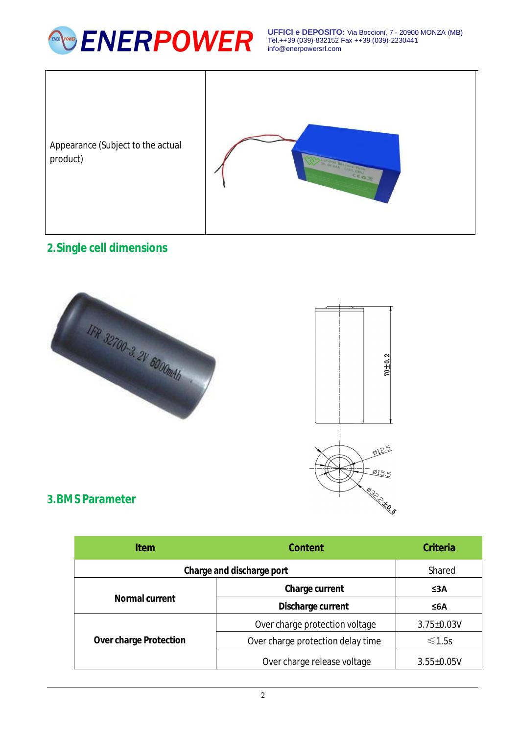

**UFFICI e DEPOSITO:** Via Boccioni, 7 - 20900 MONZA (MB) Tel.++39 (039)-832152 Fax ++39 (039)-2230441 [info@enerpowersrl.com](mailto:info@enerpowersrl.com)



## **2.Single cell dimensions**





#### **3.BMS Parameter**

| <b>Item</b>                   | <b>Content</b>                    | <b>Criteria</b>  |
|-------------------------------|-----------------------------------|------------------|
| Charge and discharge port     |                                   | Shared           |
| <b>Normal current</b>         | <b>Charge current</b>             | ≤3A              |
|                               | Discharge current                 | ≤6A              |
| <b>Over charge Protection</b> | Over charge protection voltage    | $3.75 \pm 0.03V$ |
|                               | Over charge protection delay time | $\leq 1.5s$      |
|                               | Over charge release voltage       | $3.55 \pm 0.05V$ |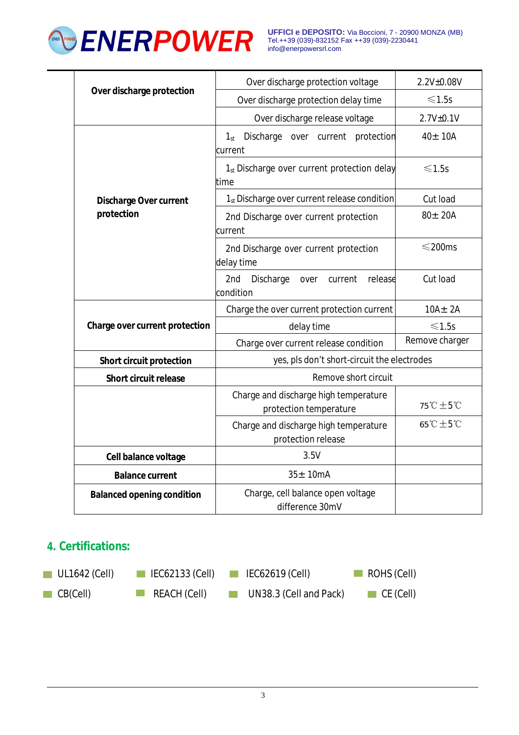

**UFFICI e DEPOSITO:** Via Boccioni, 7 - 20900 MONZA (MB) Tel.++39 (039)-832152 Fax ++39 (039)-2230441 [info@enerpowersrl.com](mailto:info@enerpowersrl.com)

| Over discharge protection                   | Over discharge protection voltage                                | 2.2V±0.08V                   |
|---------------------------------------------|------------------------------------------------------------------|------------------------------|
|                                             | Over discharge protection delay time                             | $\leq 1.5s$                  |
|                                             | Over discharge release voltage                                   | 2.7V±0.1V                    |
| <b>Discharge Over current</b><br>protection | Discharge over current protection<br>$1_{st}$<br>current         | $40 \pm 10$ A                |
|                                             | 1 <sub>st</sub> Discharge over current protection delay<br>ltime | $\leq 1.5s$                  |
|                                             | 1 <sub>st</sub> Discharge over current release condition         | Cut load                     |
|                                             | 2nd Discharge over current protection<br>current                 | $80 \pm 20$ A                |
|                                             | 2nd Discharge over current protection<br>delay time              | $\leq$ 200ms                 |
|                                             | 2nd<br>Discharge<br>release<br>current<br>over<br>condition      | Cut load                     |
| Charge over current protection              | Charge the over current protection current                       | $10A \pm 2A$                 |
|                                             | delay time                                                       | $\leq 1.5s$                  |
|                                             | Charge over current release condition                            | Remove charger               |
| <b>Short circuit protection</b>             | yes, pls don't short-circuit the electrodes                      |                              |
| <b>Short circuit release</b>                | Remove short circuit                                             |                              |
|                                             | Charge and discharge high temperature<br>protection temperature  | 75°C ±5°C                    |
|                                             | Charge and discharge high temperature<br>protection release      | $65^{\circ}C \pm 5^{\circ}C$ |
| Cell balance voltage                        | 3.5V                                                             |                              |
| <b>Balance current</b>                      | $35 \pm 10$ mA                                                   |                              |
| <b>Balanced opening condition</b>           | Charge, cell balance open voltage<br>difference 30mV             |                              |

#### **4. Certifications:**

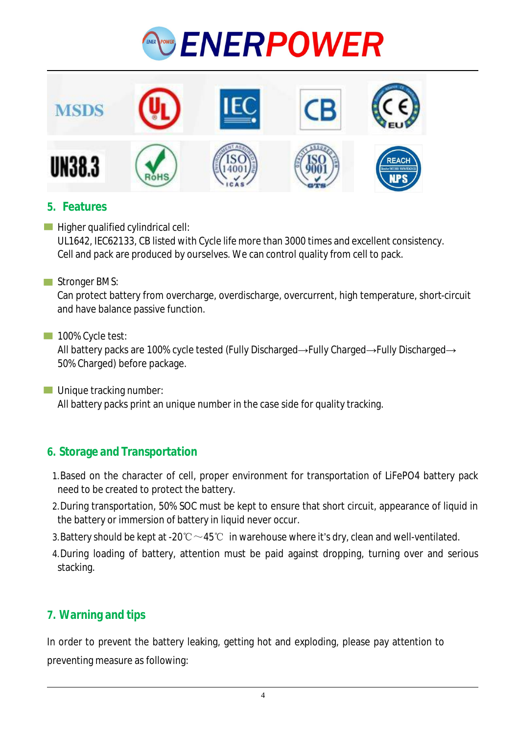



#### **5. Features**

- $\blacksquare$  Higher qualified cylindrical cell: UL1642, IEC62133, CB listed with Cycle life more than 3000 times and excellent consistency. Cell and pack are produced by ourselves. We can control quality from cell to pack.
- Stronger BMS:

Can protect battery from overcharge, overdischarge, overcurrent, high temperature, short-circuit and have balance passive function.

100% Cycle test:

All battery packs are 100% cycle tested (Fully Discharged→Fully Charged→Fully Discharged→ 50% Charged) before package.

**Unique tracking number:** All battery packs print an unique number in the case side for quality tracking.

#### **6. Storage and Transportation**

- 1.Based on the character of cell, proper environment for transportation of LiFePO4 battery pack need to be created to protect the battery.
- 2.During transportation, 50% SOC must be kept to ensure that short circuit, appearance of liquid in the battery or immersion of battery in liquid never occur.
- 3. Battery should be kept at -20°C  $\sim$  45°C in warehouse where it's dry, clean and well-ventilated.
- 4.During loading of battery, attention must be paid against dropping, turning over and serious stacking.

#### **7. Warning and tips**

In order to prevent the battery leaking, getting hot and exploding, please pay attention to preventing measure as following: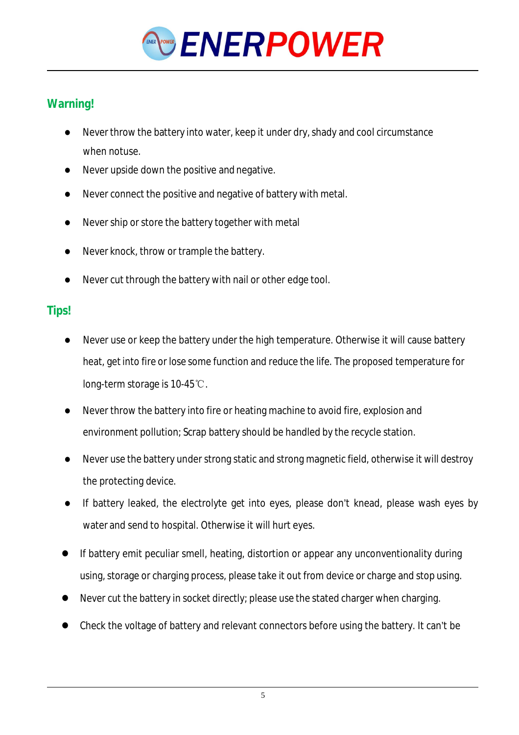

### **Warning!**

- Never throw the battery into water, keep it under dry, shady and cool circumstance when notuse.
- Never upside down the positive and negative.
- Never connect the positive and negative of battery with metal.
- Never ship or store the battery together with metal
- Never knock, throw or trample the battery.
- Never cut through the battery with nail or other edge tool.

#### **Tips!**

- Never use or keep the battery under the high temperature. Otherwise it will cause battery heat, getinto fire or lose some function and reduce the life. The proposed temperature for long-term storage is 10-45℃.
- Never throw the battery into fire or heating machine to avoid fire, explosion and environment pollution; Scrap battery should be handled by the recycle station.
- Never use the battery under strong static and strong magnetic field, otherwise it will destroy the protecting device.
- If battery leaked, the electrolyte get into eyes, please don't knead, please wash eyes by water and send to hospital. Otherwise it will hurt eyes.
- If battery emit peculiar smell, heating, distortion or appear any unconventionality during using, storage or charging process, please take it out from device or charge and stop using.
- Never cut the battery in socket directly; please use the stated charger when charging.
- Check the voltage of battery and relevant connectors before using the battery. It can't be